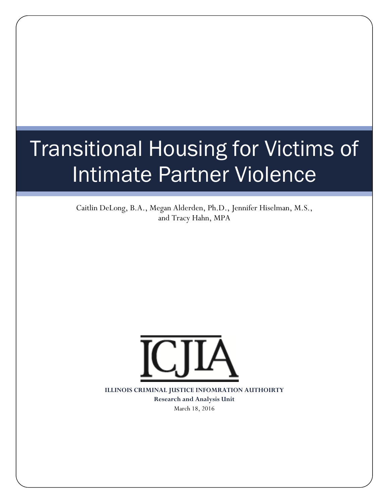# Transitional Housing for Victims of Intimate Partner Violence

Caitlin DeLong, B.A., Megan Alderden, Ph.D., Jennifer Hiselman, M.S., and Tracy Hahn, MPA



**ILLINOIS CRIMINAL JUSTICE INFOMRATION AUTHOIRTY Research and Analysis Unit**  March 18, 2016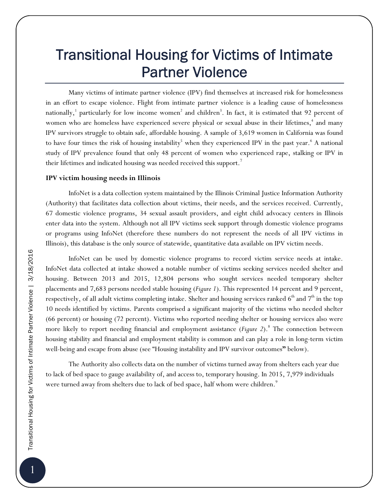# Transitional Housing for Victims of Intimate Partner Violence

Many victims of intimate partner violence (IPV) find themselves at increased risk for homelessness in an effort to escape violence. Flight from intimate partner violence is a leading cause of homelessness nationally,  $^1$  particularly for low income women $^2$  and children $^3$ . In fact, it is estimated that 92 percent of women who are homeless have experienced severe physical or sexual abuse in their lifetimes,<sup>4</sup> and many IPV survivors struggle to obtain safe, affordable housing. A sample of 3,619 women in California was found to have four times the risk of housing instability<sup>5</sup> when they experienced IPV in the past year.<sup>6</sup> A national study of IPV prevalence found that only 48 percent of women who experienced rape, stalking or IPV in their lifetimes and indicated housing was needed received this support.<sup>7</sup>

## **IPV victim housing needs in Illinois**

 InfoNet is a data collection system maintained by the Illinois Criminal Justice Information Authority (Authority) that facilitates data collection about victims, their needs, and the services received. Currently, 67 domestic violence programs, 34 sexual assault providers, and eight child advocacy centers in Illinois enter data into the system. Although not all IPV victims seek support through domestic violence programs or programs using InfoNet (therefore these numbers do not represent the needs of all IPV victims in Illinois), this database is the only source of statewide, quantitative data available on IPV victim needs.

InfoNet can be used by domestic violence programs to record victim service needs at intake. InfoNet data collected at intake showed a notable number of victims seeking services needed shelter and housing. Between 2013 and 2015, 12,804 persons who sought services needed temporary shelter placements and 7,683 persons needed stable housing (*Figure 1*). This represented 14 percent and 9 percent, respectively, of all adult victims completing intake. Shelter and housing services ranked  $6^{\rm th}$  and  $7^{\rm th}$  in the top 10 needs identified by victims. Parents comprised a significant majority of the victims who needed shelter (66 percent) or housing (72 percent). Victims who reported needing shelter or housing services also were more likely to report needing financial and employment assistance (*Figure 2*).<sup>8</sup> The connection between housing stability and financial and employment stability is common and can play a role in long-term victim well-being and escape from abuse (see "Housing instability and IPV survivor outcomes**"** below).

The Authority also collects data on the number of victims turned away from shelters each year due to lack of bed space to gauge availability of, and access to, temporary housing. In 2015, 7,979 individuals were turned away from shelters due to lack of bed space, half whom were children.<sup>9</sup>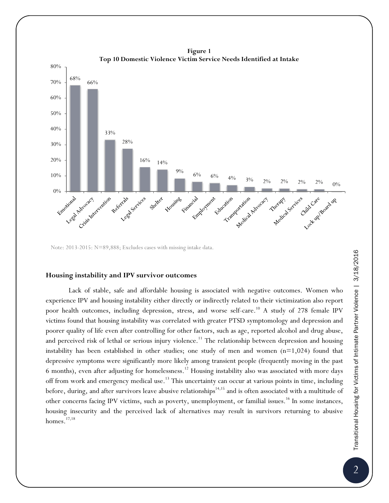

**Figure 1** 

Note: 2013-2015: N=89,888; Excludes cases with missing intake data.

#### **Housing instability and IPV survivor outcomes**

Lack of stable, safe and affordable housing is associated with negative outcomes. Women who experience IPV and housing instability either directly or indirectly related to their victimization also report poor health outcomes, including depression, stress, and worse self-care.<sup>10</sup> A study of 278 female IPV victims found that housing instability was correlated with greater PTSD symptomology and depression and poorer quality of life even after controlling for other factors, such as age, reported alcohol and drug abuse, and perceived risk of lethal or serious injury violence.<sup>11</sup> The relationship between depression and housing instability has been established in other studies; one study of men and women  $(n=1,024)$  found that depressive symptoms were significantly more likely among transient people (frequently moving in the past 6 months), even after adjusting for homelessness.12 Housing instability also was associated with more days off from work and emergency medical use.<sup>13</sup> This uncertainty can occur at various points in time, including before, during, and after survivors leave abusive relationships<sup>14,15</sup> and is often associated with a multitude of other concerns facing IPV victims, such as poverty, unemployment, or familial issues.<sup>16</sup> In some instances, housing insecurity and the perceived lack of alternatives may result in survivors returning to abusive homes. $17,18$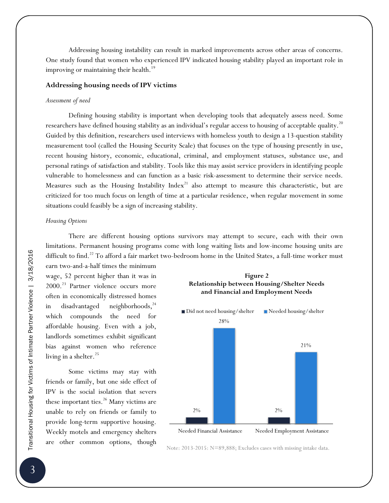Addressing housing instability can result in marked improvements across other areas of concerns. One study found that women who experienced IPV indicated housing stability played an important role in improving or maintaining their health.<sup>19</sup>

#### **Addressing housing needs of IPV victims**

#### *Assessment of need*

Defining housing stability is important when developing tools that adequately assess need. Some researchers have defined housing stability as an individual's regular access to housing of acceptable quality.<sup>20</sup> Guided by this definition, researchers used interviews with homeless youth to design a 13-question stability measurement tool (called the Housing Security Scale) that focuses on the type of housing presently in use, recent housing history, economic, educational, criminal, and employment statuses, substance use, and personal ratings of satisfaction and stability. Tools like this may assist service providers in identifying people vulnerable to homelessness and can function as a basic risk-assessment to determine their service needs. Measures such as the Housing Instability  $Index<sup>21</sup>$  also attempt to measure this characteristic, but are criticized for too much focus on length of time at a particular residence, when regular movement in some situations could feasibly be a sign of increasing stability.

# *Housing Options*

There are different housing options survivors may attempt to secure, each with their own limitations. Permanent housing programs come with long waiting lists and low-income housing units are difficult to find.<sup>22</sup> To afford a fair market two-bedroom home in the United States, a full-time worker must

earn two-and-a-half times the minimum wage, 52 percent higher than it was in 2000.<sup>23</sup> Partner violence occurs more often in economically distressed homes in disadvantaged neighborhoods,<sup>24</sup> which compounds the need for affordable housing. Even with a job, landlords sometimes exhibit significant bias against women who reference living in a shelter.<sup>25</sup>

Some victims may stay with friends or family, but one side effect of IPV is the social isolation that severs these important ties. $^{26}$  Many victims are unable to rely on friends or family to provide long-term supportive housing. Weekly motels and emergency shelters are other common options, though





Note: 2013-2015: N=89,888; Excludes cases with missing intake data.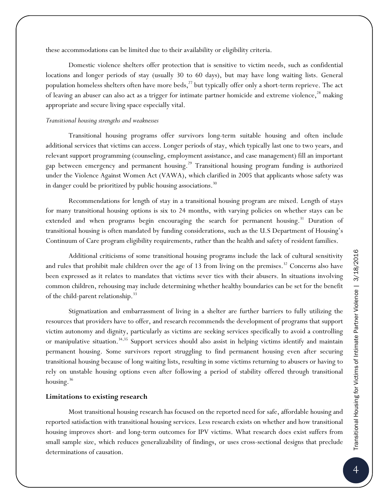these accommodations can be limited due to their availability or eligibility criteria.

Domestic violence shelters offer protection that is sensitive to victim needs, such as confidential locations and longer periods of stay (usually 30 to 60 days), but may have long waiting lists. General population homeless shelters often have more beds,<sup>27</sup> but typically offer only a short-term reprieve. The act of leaving an abuser can also act as a trigger for intimate partner homicide and extreme violence,<sup>28</sup> making appropriate and secure living space especially vital.

### *Transitional housing strengths and weaknesses*

Transitional housing programs offer survivors long-term suitable housing and often include additional services that victims can access. Longer periods of stay, which typically last one to two years, and relevant support programming (counseling, employment assistance, and case management) fill an important gap between emergency and permanent housing.<sup>29</sup> Transitional housing program funding is authorized under the Violence Against Women Act (VAWA), which clarified in 2005 that applicants whose safety was in danger could be prioritized by public housing associations.<sup>30</sup>

Recommendations for length of stay in a transitional housing program are mixed. Length of stays for many transitional housing options is six to 24 months, with varying policies on whether stays can be extended and when programs begin encouraging the search for permanent housing.<sup>31</sup> Duration of transitional housing is often mandated by funding considerations, such as the U.S Department of Housing's Continuum of Care program eligibility requirements, rather than the health and safety of resident families.

Additional criticisms of some transitional housing programs include the lack of cultural sensitivity and rules that prohibit male children over the age of 13 from living on the premises.<sup>32</sup> Concerns also have been expressed as it relates to mandates that victims sever ties with their abusers. In situations involving common children, rehousing may include determining whether healthy boundaries can be set for the benefit of the child-parent relationship.<sup>33</sup>

Stigmatization and embarrassment of living in a shelter are further barriers to fully utilizing the resources that providers have to offer, and research recommends the development of programs that support victim autonomy and dignity, particularly as victims are seeking services specifically to avoid a controlling or manipulative situation.<sup>34,35</sup> Support services should also assist in helping victims identify and maintain permanent housing. Some survivors report struggling to find permanent housing even after securing transitional housing because of long waiting lists, resulting in some victims returning to abusers or having to rely on unstable housing options even after following a period of stability offered through transitional housing. $36$ 

#### **Limitations to existing research**

Most transitional housing research has focused on the reported need for safe, affordable housing and reported satisfaction with transitional housing services. Less research exists on whether and how transitional housing improves short- and long-term outcomes for IPV victims. What research does exist suffers from small sample size, which reduces generalizability of findings, or uses cross-sectional designs that preclude determinations of causation.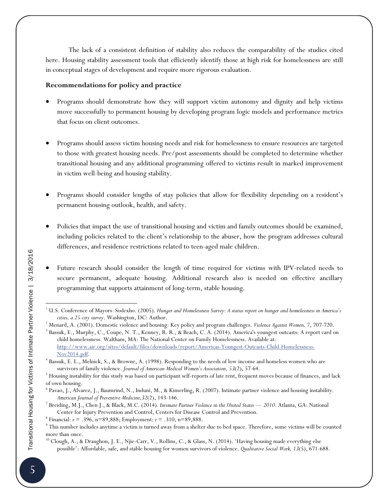The lack of a consistent definition of stability also reduces the comparability of the studies cited here. Housing stability assessment tools that efficiently identify those at high risk for homelessness are still in conceptual stages of development and require more rigorous evaluation.

# **Recommendations for policy and practice**

- Programs should demonstrate how they will support victim autonomy and dignity and help victims move successfully to permanent housing by developing program logic models and performance metrics that focus on client outcomes.
- Programs should assess victim housing needs and risk for homelessness to ensure resources are targeted to those with greatest housing needs. Pre/post assessments should be completed to determine whether transitional housing and any additional programming offered to victims result in marked improvement in victim well-being and housing stability.
- Programs should consider lengths of stay policies that allow for flexibility depending on a resident's permanent housing outlook, health, and safety.
- Policies that impact the use of transitional housing and victim and family outcomes should be examined, including policies related to the client's relationship to the abuser, how the program addresses cultural differences, and residence restrictions related to teen-aged male children.
- Future research should consider the length of time required for victims with IPV-related needs to secure permanent, adequate housing. Additional research also is needed on effective ancillary programming that supports attainment of long-term, stable housing.

 $\overline{a}$ 

<sup>1</sup> U.S. Conference of Mayors–Sodexho. (2005). *Hunger and Homelessness Survey: A status report on hunger and homelessness in America's cities, a 25-city survey*. Washington, DC: Author. 2

<sup>&</sup>lt;sup>2</sup> Menard, A. (2001). Domestic violence and housing: Key policy and program challenges. *Violence Against Women*, 7, 707-720.

<sup>&</sup>lt;sup>3</sup> Bassuk, E., Murphy, C., Coupe, N. T., Kenney, R. R., & Beach, C. A. (2014). America's youngest outcasts: A report card on child homelessness. Waltham, MA: The National Center on Family Homelessness. Available at: http://www.air.org/sites/default/files/downloads/report/Americas-Youngest-Outcasts-Child-Homelessness-

Nov2014.pdf. 4 Bassuk, E. L., Melnick, S., & Browne, A. (1998). Responding to the needs of low income and homeless women who are survivors of family violence. *Journal of American Medical Women's Association*, 53(2), 57-64.

 $5$  Housing instability for this study was based on participant self-reports of late rent, frequent moves because of finances, and lack of own housing.

<sup>6</sup> Pavao, J., Alvarez, J., Baumrind, N., Induni, M., & Kimerling, R. (2007). Intimate partner violence and housing instability. *American Journal of Preventive Medicine,32*(2), 143-146. 7

<sup>&</sup>lt;sup>7</sup> Breiding, M.J., Chen J., & Black, M.C. (2014). Intimate Partner Violence in the United States - 2010. Atlanta, GA: National Center for Injury Prevention and Control, Centers for Disease Control and Prevention. 8

 $^8$  Financial:  $r = .396$ , n=89,888; Employment:  $r = .310$ , n=89,888.

 $\degree$  This number includes anytime a victim is turned away from a shelter due to bed space. Therefore, some victims will be counted more than once.

<sup>&</sup>lt;sup>10</sup> Clough, A., & Draughon, J. E., Njie-Carr, V., Rollins, C., & Glass, N. (2014). 'Having housing made everything else possible': Affordable, safe, and stable housing for women survivors of violence. *Qualitative Social Work, 13*(5), 671-688.